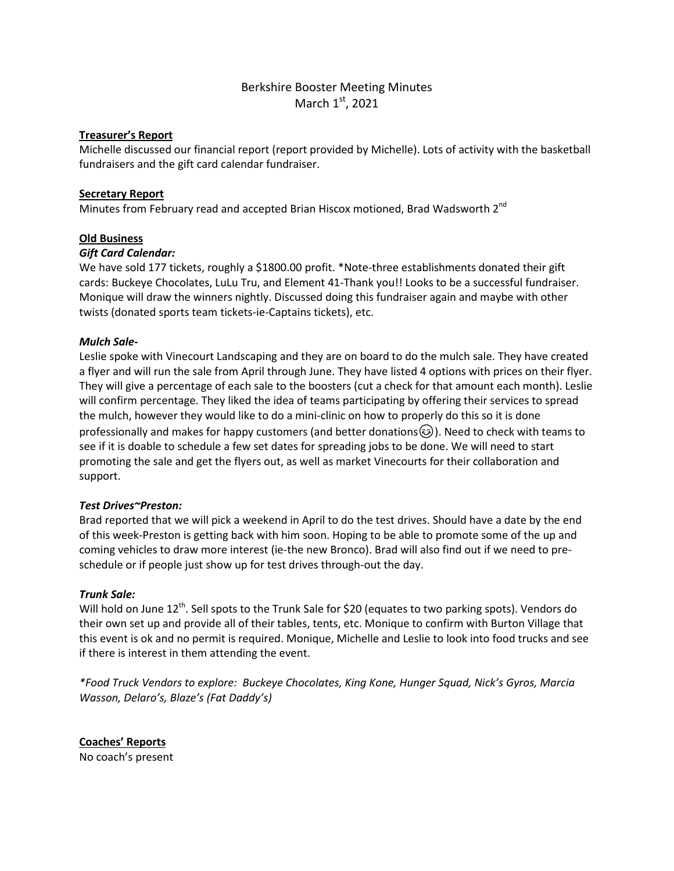# Berkshire Booster Meeting Minutes March  $1<sup>st</sup>$ , 2021

### **Treasurer's Report**

Michelle discussed our financial report (report provided by Michelle). Lots of activity with the basketball fundraisers and the gift card calendar fundraiser.

# **Secretary Report**

Minutes from February read and accepted Brian Hiscox motioned, Brad Wadsworth 2<sup>nd</sup>

# **Old Business**

### *Gift Card Calendar:*

We have sold 177 tickets, roughly a \$1800.00 profit. \*Note-three establishments donated their gift cards: Buckeye Chocolates, LuLu Tru, and Element 41-Thank you!! Looks to be a successful fundraiser. Monique will draw the winners nightly. Discussed doing this fundraiser again and maybe with other twists (donated sports team tickets-ie-Captains tickets), etc.

# *Mulch Sale-*

Leslie spoke with Vinecourt Landscaping and they are on board to do the mulch sale. They have created a flyer and will run the sale from April through June. They have listed 4 options with prices on their flyer. They will give a percentage of each sale to the boosters (cut a check for that amount each month). Leslie will confirm percentage. They liked the idea of teams participating by offering their services to spread the mulch, however they would like to do a mini-clinic on how to properly do this so it is done professionally and makes for happy customers (and better donations $\circled{e}$ ). Need to check with teams to see if it is doable to schedule a few set dates for spreading jobs to be done. We will need to start promoting the sale and get the flyers out, as well as market Vinecourts for their collaboration and support.

### *Test Drives~Preston:*

Brad reported that we will pick a weekend in April to do the test drives. Should have a date by the end of this week-Preston is getting back with him soon. Hoping to be able to promote some of the up and coming vehicles to draw more interest (ie-the new Bronco). Brad will also find out if we need to preschedule or if people just show up for test drives through-out the day.

### *Trunk Sale:*

Will hold on June 12<sup>th</sup>. Sell spots to the Trunk Sale for \$20 (equates to two parking spots). Vendors do their own set up and provide all of their tables, tents, etc. Monique to confirm with Burton Village that this event is ok and no permit is required. Monique, Michelle and Leslie to look into food trucks and see if there is interest in them attending the event.

*\*Food Truck Vendors to explore: Buckeye Chocolates, King Kone, Hunger Squad, Nick's Gyros, Marcia Wasson, Delaro's, Blaze's (Fat Daddy's)*

**Coaches' Reports**  No coach's present